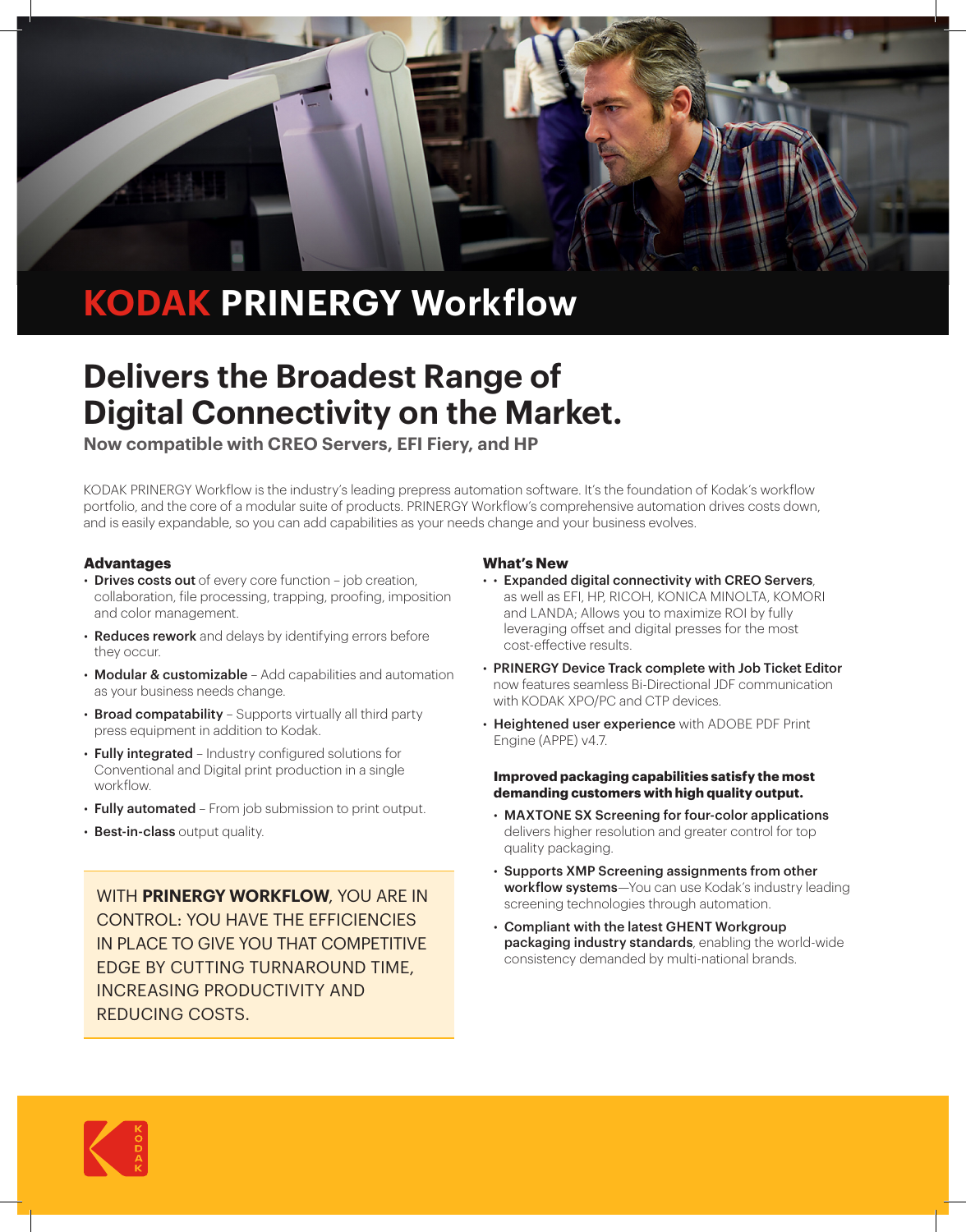

# **KODAK PRINERGY Workflow**

## **Delivers the Broadest Range of Digital Connectivity on the Market.**

**Now compatible with CREO Servers, EFI Fiery, and HP**

KODAK PRINERGY Workflow is the industry's leading prepress automation software. It's the foundation of Kodak's workflow portfolio, and the core of a modular suite of products. PRINERGY Workflow's comprehensive automation drives costs down, and is easily expandable, so you can add capabilities as your needs change and your business evolves.

## **Advantages**

- Drives costs out of every core function job creation, collaboration, file processing, trapping, proofing, imposition and color management.
- Reduces rework and delays by identifying errors before they occur.
- Modular & customizable Add capabilities and automation as your business needs change.
- Broad compatability Supports virtually all third party press equipment in addition to Kodak.
- Fully integrated Industry configured solutions for Conventional and Digital print production in a single workflow.
- Fully automated From job submission to print output.
- **Best-in-class output quality.**

WITH **PRINERGY WORKFLOW**, YOU ARE IN CONTROL: YOU HAVE THE EFFICIENCIES IN PLACE TO GIVE YOU THAT COMPETITIVE EDGE BY CUTTING TURNAROUND TIME, INCREASING PRODUCTIVITY AND REDUCING COSTS.

## **What's New**

- • Expanded digital connectivity with CREO Servers, as well as EFI, HP, RICOH, KONICA MINOLTA, KOMORI and LANDA; Allows you to maximize ROI by fully leveraging offset and digital presses for the most cost-effective results.
- PRINERGY Device Track complete with Job Ticket Editor now features seamless Bi-Directional JDF communication with KODAK XPO/PC and CTP devices.
- Heightened user experience with ADOBE PDF Print Engine (APPE) v4.7.

## **Improved packaging capabilities satisfy the most demanding customers with high quality output.**

- MAXTONE SX Screening for four-color applications delivers higher resolution and greater control for top quality packaging.
- Supports XMP Screening assignments from other workflow systems-You can use Kodak's industry leading screening technologies through automation.
- Compliant with the latest GHENT Workgroup packaging industry standards, enabling the world-wide consistency demanded by multi-national brands.

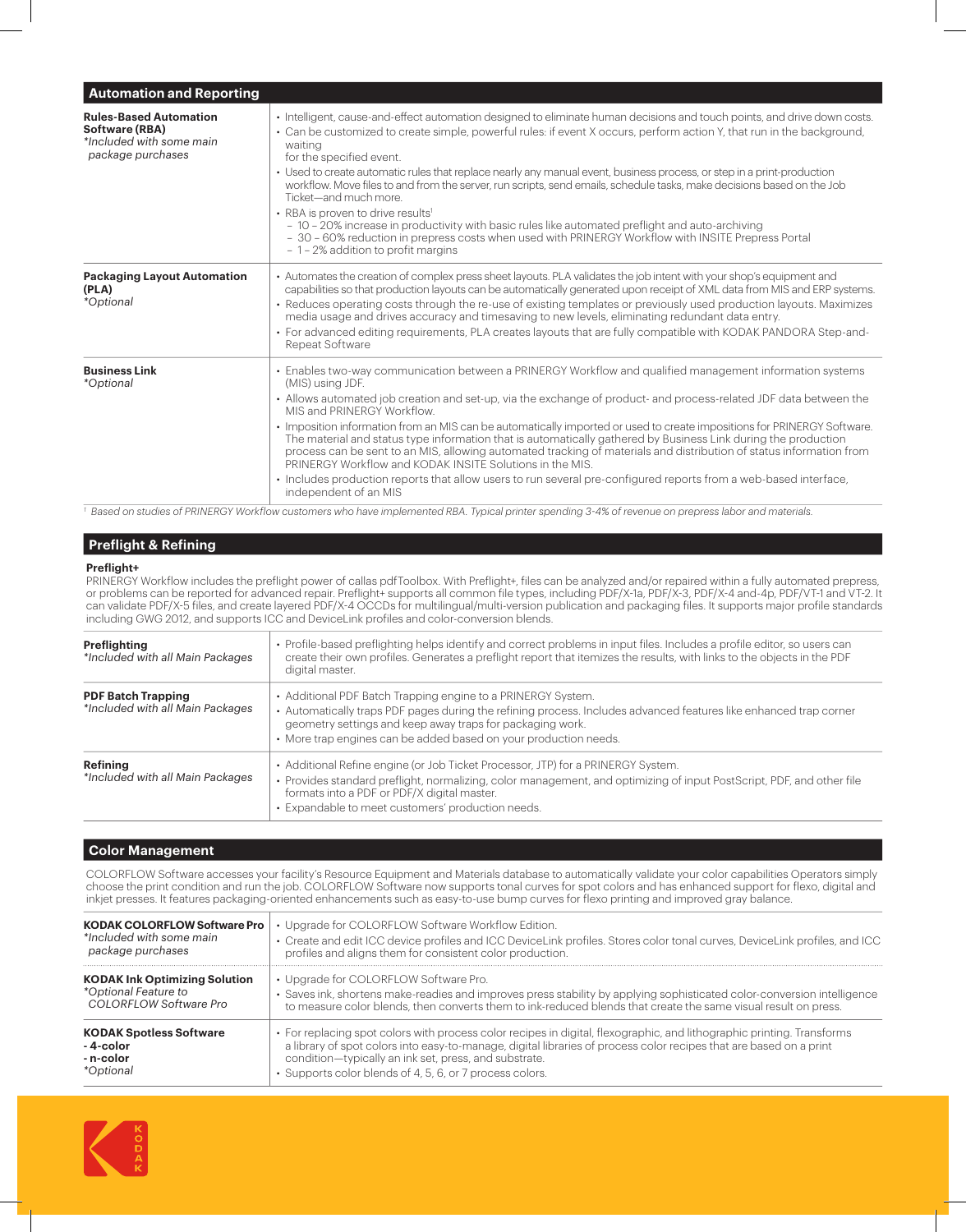| <b>Automation and Reporting</b>                                                                  |                                                                                                                                                                                                                                                                                                                                                                                                                                                                                                                                                                                                                                                                                                                                                                                                                                                                          |
|--------------------------------------------------------------------------------------------------|--------------------------------------------------------------------------------------------------------------------------------------------------------------------------------------------------------------------------------------------------------------------------------------------------------------------------------------------------------------------------------------------------------------------------------------------------------------------------------------------------------------------------------------------------------------------------------------------------------------------------------------------------------------------------------------------------------------------------------------------------------------------------------------------------------------------------------------------------------------------------|
| <b>Rules-Based Automation</b><br>Software (RBA)<br>*Included with some main<br>package purchases | • Intelligent, cause-and-effect automation designed to eliminate human decisions and touch points, and drive down costs.<br>• Can be customized to create simple, powerful rules: if event X occurs, perform action Y, that run in the background,<br>waiting<br>for the specified event.<br>• Used to create automatic rules that replace nearly any manual event, business process, or step in a print-production<br>workflow. Move files to and from the server, run scripts, send emails, schedule tasks, make decisions based on the Job<br>Ticket-and much more<br>• RBA is proven to drive results <sup>1</sup><br>- 10 - 20% increase in productivity with basic rules like automated preflight and auto-archiving<br>- 30 - 60% reduction in prepress costs when used with PRINERGY Workflow with INSITE Prepress Portal<br>- 1 - 2% addition to profit margins |
| <b>Packaging Layout Automation</b><br>(PLA)<br><i>*Optional</i>                                  | • Automates the creation of complex press sheet layouts. PLA validates the job intent with your shop's equipment and<br>capabilities so that production layouts can be automatically generated upon receipt of XML data from MIS and ERP systems.<br>• Reduces operating costs through the re-use of existing templates or previously used production layouts. Maximizes<br>media usage and drives accuracy and timesaving to new levels, eliminating redundant data entry.<br>• For advanced editing requirements, PLA creates layouts that are fully compatible with KODAK PANDORA Step-and-<br>Repeat Software                                                                                                                                                                                                                                                        |
| <b>Business Link</b><br><i>*Optional</i>                                                         | • Enables two-way communication between a PRINERGY Workflow and qualified management information systems<br>(MIS) using JDF.<br>• Allows automated job creation and set-up, via the exchange of product- and process-related JDF data between the<br>MIS and PRINERGY Workflow.<br>• Imposition information from an MIS can be automatically imported or used to create impositions for PRINERGY Software.<br>The material and status type information that is automatically gathered by Business Link during the production<br>process can be sent to an MIS, allowing automated tracking of materials and distribution of status information from<br>PRINERGY Workflow and KODAK INSITE Solutions in the MIS.<br>· Includes production reports that allow users to run several pre-configured reports from a web-based interface,<br>independent of an MIS             |

*1 Based on studies of PRINERGY Workflow customers who have implemented RBA. Typical printer spending 3-4% of revenue on prepress labor and materials.*

#### **Preflight & Refining**

## **Preflight+**

PRINERGY Workflow includes the preflight power of callas pdfToolbox. With Preflight+, files can be analyzed and/or repaired within a fully automated prepress, or problems can be reported for advanced repair. Preflight+ supports all common file types, including PDF/X-1a, PDF/X-3, PDF/X-4 and-4p, PDF/VT-1 and VT-2. It can validate PDF/X-5 files, and create layered PDF/X-4 OCCDs for multilingual/multi-version publication and packaging files. It supports major profile standards including GWG 2012, and supports ICC and DeviceLink profiles and color-conversion blends.

| Preflighting<br>*Included with all Main Packages              | • Profile-based preflighting helps identify and correct problems in input files. Includes a profile editor, so users can<br>create their own profiles. Generates a preflight report that itemizes the results, with links to the objects in the PDF<br>digital master.                                             |
|---------------------------------------------------------------|--------------------------------------------------------------------------------------------------------------------------------------------------------------------------------------------------------------------------------------------------------------------------------------------------------------------|
| <b>PDF Batch Trapping</b><br>*Included with all Main Packages | • Additional PDF Batch Trapping engine to a PRINERGY System.<br>• Automatically traps PDF pages during the refining process. Includes advanced features like enhanced trap corner<br>geometry settings and keep away traps for packaging work.<br>• More trap engines can be added based on your production needs. |
| Refining<br>*Included with all Main Packages                  | • Additional Refine engine (or Job Ticket Processor, JTP) for a PRINERGY System.<br>• Provides standard preflight, normalizing, color management, and optimizing of input PostScript, PDF, and other file<br>formats into a PDF or PDF/X digital master.<br>· Expandable to meet customers' production needs.      |

#### **Color Management**

COLORFLOW Software accesses your facility's Resource Equipment and Materials database to automatically validate your color capabilities Operators simply choose the print condition and run the job. COLORFLOW Software now supports tonal curves for spot colors and has enhanced support for flexo, digital and inkjet presses. It features packaging-oriented enhancements such as easy-to-use bump curves for flexo printing and improved gray balance.

| <b>KODAK COLORFLOW Software Pro</b>  | Upgrade for COLORFLOW Software Workflow Edition.                                                                           |
|--------------------------------------|----------------------------------------------------------------------------------------------------------------------------|
| *Included with some main             | · Create and edit ICC device profiles and ICC DeviceLink profiles. Stores color tonal curves, DeviceLink profiles, and ICC |
| package purchases                    | profiles and aligns them for consistent color production.                                                                  |
| <b>KODAK Ink Optimizing Solution</b> | • Upgrade for COLORFLOW Software Pro.                                                                                      |
| *Optional Feature to                 | · Saves ink, shortens make-readies and improves press stability by applying sophisticated color-conversion intelligence    |
| COLORFLOW Software Pro               | to measure color blends, then converts them to ink-reduced blends that create the same visual result on press.             |
| <b>KODAK Spotless Software</b>       | • For replacing spot colors with process color recipes in digital, flexographic, and lithographic printing. Transforms     |
| -4-color                             | a library of spot colors into easy-to-manage, digital libraries of process color recipes that are based on a print         |
| - n-color                            | condition-typically an ink set, press, and substrate.                                                                      |
| <i>*Optional</i>                     | • Supports color blends of 4, 5, 6, or 7 process colors.                                                                   |

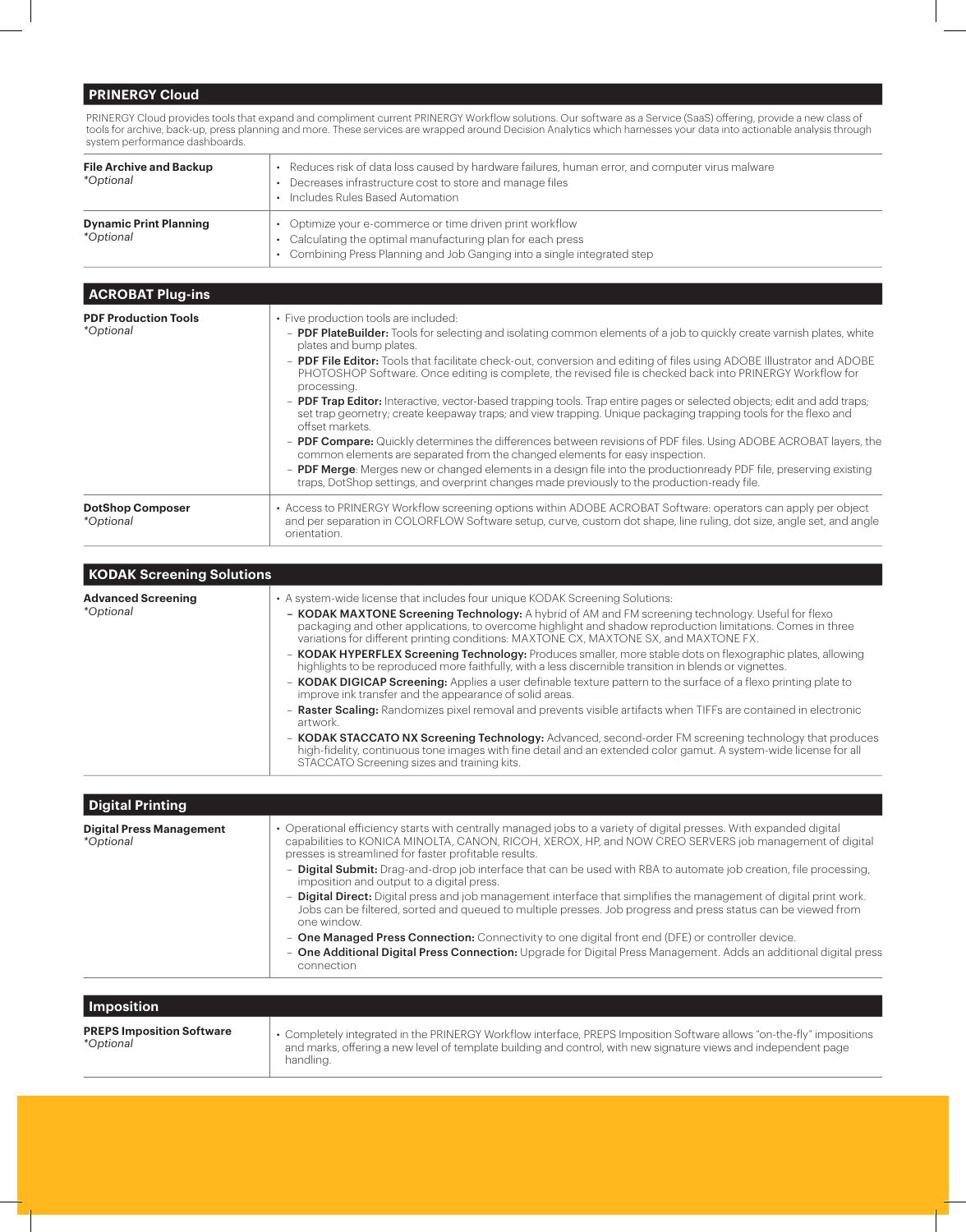## **PRINERGY Cloud**

PRINERGY Cloud provides tools that expand and compliment current PRINERGY Workflow solutions. Our software as a Service (SaaS) offering, provide a new class of tools for archive, back-up, press planning and more. These services are wrapped around Decision Analytics which harnesses your data into actionable analysis through system performance dashboards.

| <b>File Archive and Backup</b><br><i>*Optional</i> | • Reduces risk of data loss caused by hardware failures, human error, and computer virus malware<br>• Decreases infrastructure cost to store and manage files<br>• Includes Rules Based Automation |
|----------------------------------------------------|----------------------------------------------------------------------------------------------------------------------------------------------------------------------------------------------------|
| <b>Dynamic Print Planning</b><br><i>*Optional</i>  | Optimize your e-commerce or time driven print workflow<br>• Calculating the optimal manufacturing plan for each press<br>• Combining Press Planning and Job Ganging into a single integrated step  |

| <b>ACROBAT Plug-ins</b>                         |                                                                                                                                                                                                                                                                                                                                                                                                                                                                                                                                                                                                                                                                                                                                                                                                                                                                                                                                                                                                                                                                                                                                             |
|-------------------------------------------------|---------------------------------------------------------------------------------------------------------------------------------------------------------------------------------------------------------------------------------------------------------------------------------------------------------------------------------------------------------------------------------------------------------------------------------------------------------------------------------------------------------------------------------------------------------------------------------------------------------------------------------------------------------------------------------------------------------------------------------------------------------------------------------------------------------------------------------------------------------------------------------------------------------------------------------------------------------------------------------------------------------------------------------------------------------------------------------------------------------------------------------------------|
| <b>PDF Production Tools</b><br><i>*Optional</i> | • Five production tools are included:<br>- PDF PlateBuilder: Tools for selecting and isolating common elements of a job to quickly create varnish plates, white<br>plates and bump plates.<br>- PDF File Editor: Tools that facilitate check-out, conversion and editing of files using ADOBE Illustrator and ADOBE<br>PHOTOSHOP Software. Once editing is complete, the revised file is checked back into PRINERGY Workflow for<br>processing.<br>- PDF Trap Editor: Interactive, vector-based trapping tools. Trap entire pages or selected objects; edit and add traps;<br>set trap geometry; create keepaway traps; and view trapping. Unique packaging trapping tools for the flexo and<br>offset markets.<br>- PDF Compare: Quickly determines the differences between revisions of PDF files. Using ADOBE ACROBAT layers, the<br>common elements are separated from the changed elements for easy inspection.<br>- PDF Merge: Merges new or changed elements in a design file into the productionready PDF file, preserving existing<br>traps, DotShop settings, and overprint changes made previously to the production-ready file. |
| <b>DotShop Composer</b><br><i>*Optional</i>     | • Access to PRINERGY Workflow screening options within ADOBE ACROBAT Software: operators can apply per object<br>and per separation in COLORFLOW Software setup, curve, custom dot shape, line ruling, dot size, angle set, and angle<br>orientation.                                                                                                                                                                                                                                                                                                                                                                                                                                                                                                                                                                                                                                                                                                                                                                                                                                                                                       |

| <b>KODAK Screening Solutions</b>              |                                                                                                                                                                                                                                                                                                                                                                                                                                                                                                                                                                                                                                                                                                                                                                                                                                                                                                                                                                                                                                                                                                                                                                                                                                |
|-----------------------------------------------|--------------------------------------------------------------------------------------------------------------------------------------------------------------------------------------------------------------------------------------------------------------------------------------------------------------------------------------------------------------------------------------------------------------------------------------------------------------------------------------------------------------------------------------------------------------------------------------------------------------------------------------------------------------------------------------------------------------------------------------------------------------------------------------------------------------------------------------------------------------------------------------------------------------------------------------------------------------------------------------------------------------------------------------------------------------------------------------------------------------------------------------------------------------------------------------------------------------------------------|
| <b>Advanced Screening</b><br><i>*Optional</i> | • A system-wide license that includes four unique KODAK Screening Solutions:<br>- KODAK MAXTONE Screening Technology: A hybrid of AM and FM screening technology. Useful for flexo<br>packaging and other applications, to overcome highlight and shadow reproduction limitations. Comes in three<br>variations for different printing conditions: MAXTONE CX, MAXTONE SX, and MAXTONE FX.<br>- KODAK HYPERFLEX Screening Technology: Produces smaller, more stable dots on flexographic plates, allowing<br>highlights to be reproduced more faithfully, with a less discernible transition in blends or vignettes.<br>- <b>KODAK DIGICAP Screening:</b> Applies a user definable texture pattern to the surface of a flexo printing plate to<br>improve ink transfer and the appearance of solid areas.<br>- Raster Scaling: Randomizes pixel removal and prevents visible artifacts when TIFFs are contained in electronic<br>artwork.<br>- <b>KODAK STACCATO NX Screening Technology:</b> Advanced, second-order FM screening technology that produces<br>high-fidelity, continuous tone images with fine detail and an extended color gamut. A system-wide license for all<br>STACCATO Screening sizes and training kits. |

| <b>Digital Printing</b>                             |                                                                                                                                                                                                                                                                                        |
|-----------------------------------------------------|----------------------------------------------------------------------------------------------------------------------------------------------------------------------------------------------------------------------------------------------------------------------------------------|
| <b>Digital Press Management</b><br><i>*Optional</i> | • Operational efficiency starts with centrally managed jobs to a variety of digital presses. With expanded digital<br>capabilities to KONICA MINOLTA, CANON, RICOH, XEROX, HP, and NOW CREO SERVERS job management of digital<br>presses is streamlined for faster profitable results. |
|                                                     | - Digital Submit: Drag-and-drop job interface that can be used with RBA to automate job creation, file processing,<br>imposition and output to a digital press.                                                                                                                        |
|                                                     | - <b>Digital Direct:</b> Digital press and job management interface that simplifies the management of digital print work.<br>Jobs can be filtered, sorted and queued to multiple presses. Job progress and press status can be viewed from<br>one window.                              |
|                                                     | - One Managed Press Connection: Connectivity to one digital front end (DFE) or controller device.                                                                                                                                                                                      |
|                                                     | - One Additional Digital Press Connection: Upgrade for Digital Press Management. Adds an additional digital press<br>connection                                                                                                                                                        |

| Imposition                                    |                                                                                                                                                                                                                                                       |
|-----------------------------------------------|-------------------------------------------------------------------------------------------------------------------------------------------------------------------------------------------------------------------------------------------------------|
| <b>PREPS Imposition Software</b><br>*Optional | • Completely integrated in the PRINERGY Workflow interface, PREPS Imposition Software allows "on-the-fly" impositions<br>and marks, offering a new level of template building and control, with new signature views and independent page<br>handling. |